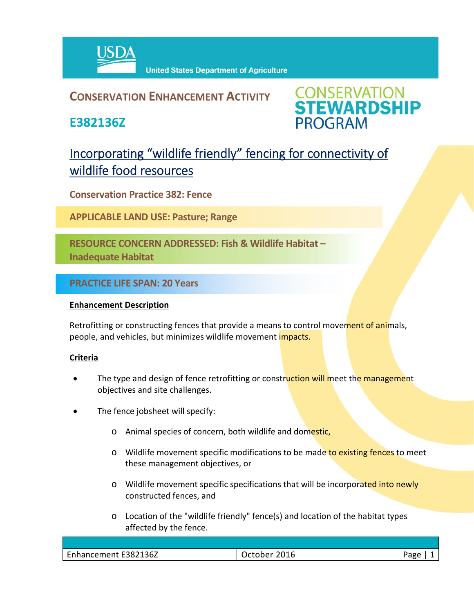

**United States Department of Agriculture** 

# **CONSERVATION ENHANCEMENT ACTIVITY**

**E382136Z**



# Incorporating "wildlife friendly" fencing for connectivity of wildlife food resources

**Conservation Practice 382: Fence**

**APPLICABLE LAND USE: Pasture; Range**

**RESOURCE CONCERN ADDRESSED: Fish & Wildlife Habitat – Inadequate Habitat**

**PRACTICE LIFE SPAN: 20 Years**

## **Enhancement Description**

Retrofitting or constructing fences that provide a means to control movement of animals, people, and vehicles, but minimizes wildlife movement *impacts.* 

### **Criteria**

- The type and design of fence retrofitting or construction will meet the management objectives and site challenges.
- The fence jobsheet will specify:
	- o Animal species of concern, both wildlife and domestic,
	- o Wildlife movement specific modifications to be made to existing fences to meet these management objectives, or
	- o Wildlife movement specific specifications that will be incorporated into newly constructed fences, and
	- o Location of the "wildlife friendly" fence(s) and location of the habitat types affected by the fence.

| Enhancement E382136Z | 2016<br>\^+^b^~ | <sup>o</sup> age |
|----------------------|-----------------|------------------|